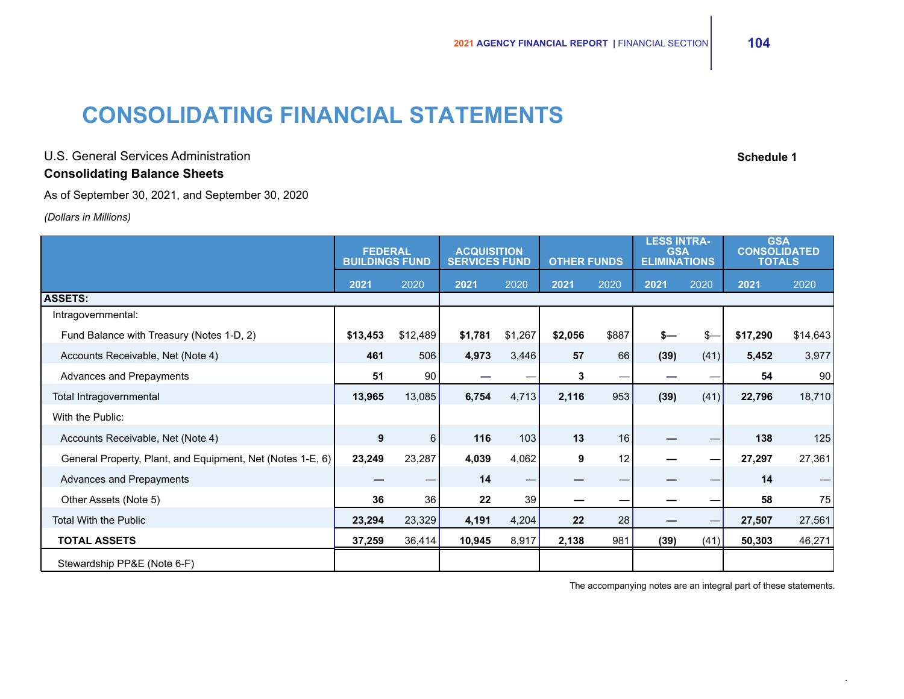# **CONSOLIDATING FINANCIAL STATEMENTS**

U.S. General Services Administration **Schedule 1** and the service of the service of the services Administration **Consolidating Balance Sheets**

As of September 30, 2021, and September 30, 2020

*(Dollars in Millions)*

|                                                            | <b>FEDERAL</b><br><b>BUILDINGS FUND</b> |          | <b>ACQUISITION</b><br><b>SERVICES FUND</b> |         | <b>OTHER FUNDS</b> |       | <b>LESS INTRA-</b><br><b>GSA</b><br><b>ELIMINATIONS</b> |      | <b>GSA</b><br><b>CONSOLIDATED</b><br><b>TOTALS</b> |          |
|------------------------------------------------------------|-----------------------------------------|----------|--------------------------------------------|---------|--------------------|-------|---------------------------------------------------------|------|----------------------------------------------------|----------|
|                                                            | 2021                                    | 2020     | 2021                                       | 2020    | 2021               | 2020  | 2021                                                    | 2020 | 2021                                               | 2020     |
| <b>ASSETS:</b>                                             |                                         |          |                                            |         |                    |       |                                                         |      |                                                    |          |
| Intragovernmental:                                         |                                         |          |                                            |         |                    |       |                                                         |      |                                                    |          |
| Fund Balance with Treasury (Notes 1-D, 2)                  | \$13,453                                | \$12,489 | \$1,781                                    | \$1,267 | \$2,056            | \$887 | $s-$                                                    | $s-$ | \$17,290                                           | \$14,643 |
| Accounts Receivable, Net (Note 4)                          | 461                                     | 506      | 4,973                                      | 3,446   | 57                 | 66    | (39)                                                    | (41) | 5,452                                              | 3,977    |
| Advances and Prepayments                                   | 51                                      | 90       |                                            |         | 3                  |       |                                                         |      | 54                                                 | 90       |
| Total Intragovernmental                                    | 13,965                                  | 13,085   | 6,754                                      | 4,713   | 2,116              | 953   | (39)                                                    | (41) | 22,796                                             | 18,710   |
| With the Public:                                           |                                         |          |                                            |         |                    |       |                                                         |      |                                                    |          |
| Accounts Receivable, Net (Note 4)                          | 9                                       | $6 \mid$ | 116                                        | 103     | 13                 | 16    |                                                         |      | 138                                                | 125      |
| General Property, Plant, and Equipment, Net (Notes 1-E, 6) | 23,249                                  | 23,287   | 4,039                                      | 4,062   | 9                  | 12    |                                                         |      | 27,297                                             | 27,361   |
| Advances and Prepayments                                   |                                         |          | 14                                         | -       |                    |       |                                                         |      | 14                                                 |          |
| Other Assets (Note 5)                                      | 36                                      | 36       | 22                                         | 39      |                    |       |                                                         |      | 58                                                 | 75       |
| <b>Total With the Public</b>                               | 23,294                                  | 23,329   | 4,191                                      | 4,204   | 22                 | 28    |                                                         |      | 27,507                                             | 27,561   |
| <b>TOTAL ASSETS</b>                                        | 37,259                                  | 36,414   | 10,945                                     | 8,917   | 2,138              | 981   | (39)                                                    | (41) | 50,303                                             | 46,271   |
| Stewardship PP&E (Note 6-F)                                |                                         |          |                                            |         |                    |       |                                                         |      |                                                    |          |

The accompanying notes are an integral part of these statements.

.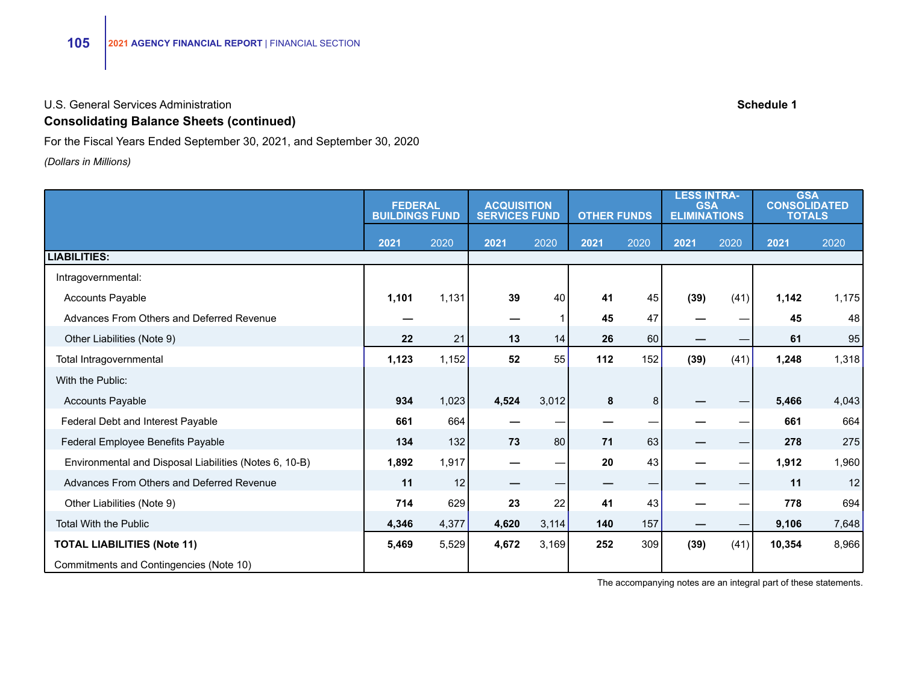# **Consolidating Balance Sheets (continued)**

For the Fiscal Years Ended September 30, 2021, and September 30, 2020

*(Dollars in Millions)*

|                                                        | <b>FEDERAL</b><br><b>BUILDINGS FUND</b> |       | <b>ACQUISITION</b><br><b>SERVICES FUND</b> |       | <b>OTHER FUNDS</b> |      | <b>LESS INTRA-</b><br><b>GSA</b><br><b>ELIMINATIONS</b> |      | <b>GSA</b><br><b>CONSOLIDATED</b><br><b>TOTALS</b> |       |
|--------------------------------------------------------|-----------------------------------------|-------|--------------------------------------------|-------|--------------------|------|---------------------------------------------------------|------|----------------------------------------------------|-------|
|                                                        | 2021                                    | 2020  | 2021                                       | 2020  | 2021               | 2020 | 2021                                                    | 2020 | 2021                                               | 2020  |
| <b>LIABILITIES:</b>                                    |                                         |       |                                            |       |                    |      |                                                         |      |                                                    |       |
| Intragovernmental:                                     |                                         |       |                                            |       |                    |      |                                                         |      |                                                    |       |
| <b>Accounts Payable</b>                                | 1,101                                   | 1,131 | 39                                         | 40    | 41                 | 45   | (39)                                                    | (41) | 1,142                                              | 1,175 |
| Advances From Others and Deferred Revenue              |                                         |       |                                            |       | 45                 | 47   |                                                         |      | 45                                                 | 48    |
| Other Liabilities (Note 9)                             | 22                                      | 21    | 13                                         | 14    | 26                 | 60   |                                                         |      | 61                                                 | 95    |
| Total Intragovernmental                                | 1,123                                   | 1,152 | 52                                         | 55    | 112                | 152  | (39)                                                    | (41) | 1,248                                              | 1,318 |
| With the Public:                                       |                                         |       |                                            |       |                    |      |                                                         |      |                                                    |       |
| Accounts Payable                                       | 934                                     | 1,023 | 4,524                                      | 3,012 | 8                  | 8    |                                                         |      | 5,466                                              | 4,043 |
| Federal Debt and Interest Payable                      | 661                                     | 664   |                                            |       |                    |      |                                                         |      | 661                                                | 664   |
| Federal Employee Benefits Payable                      | 134                                     | 132   | 73                                         | 80    | 71                 | 63   |                                                         |      | 278                                                | 275   |
| Environmental and Disposal Liabilities (Notes 6, 10-B) | 1,892                                   | 1,917 |                                            |       | 20                 | 43   |                                                         |      | 1,912                                              | 1,960 |
| Advances From Others and Deferred Revenue              | 11                                      | 12    |                                            |       |                    | —    |                                                         |      | 11                                                 | 12    |
| Other Liabilities (Note 9)                             | 714                                     | 629   | 23                                         | 22    | 41                 | 43   |                                                         |      | 778                                                | 694   |
| <b>Total With the Public</b>                           | 4,346                                   | 4,377 | 4,620                                      | 3,114 | 140                | 157  |                                                         |      | 9,106                                              | 7,648 |
| <b>TOTAL LIABILITIES (Note 11)</b>                     | 5,469                                   | 5,529 | 4,672                                      | 3,169 | 252                | 309  | (39)                                                    | (41) | 10,354                                             | 8,966 |
| Commitments and Contingencies (Note 10)                |                                         |       |                                            |       |                    |      |                                                         |      |                                                    |       |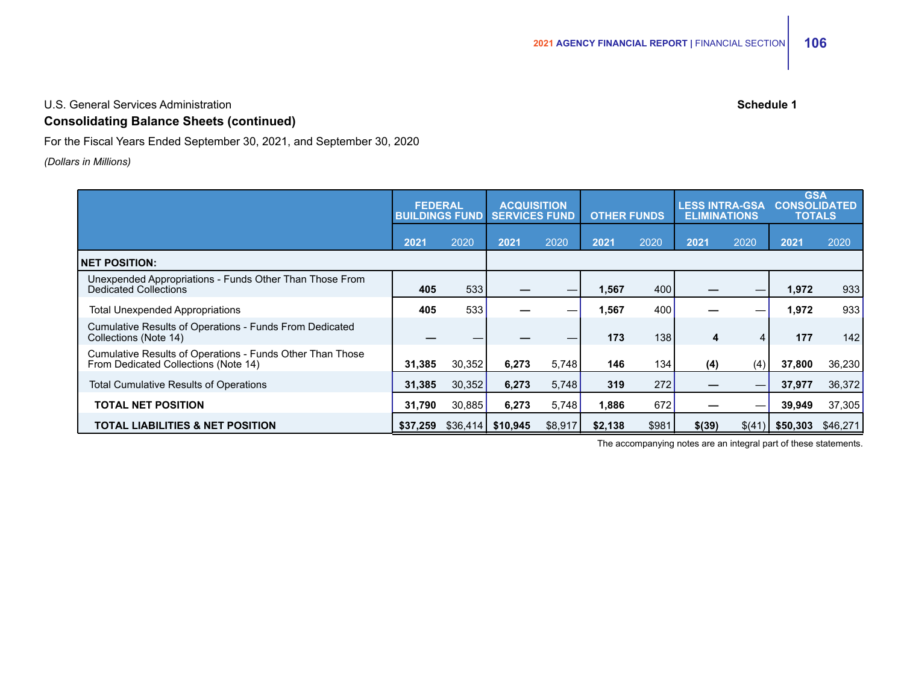U.S. General Services Administration **Schedule 1**

# **Consolidating Balance Sheets (continued)**

For the Fiscal Years Ended September 30, 2021, and September 30, 2020

#### *(Dollars in Millions)*

|                                                                                                   | <b>FEDERAL</b><br><b>BUILDINGS FUND</b> |          | <b>ACQUISITION</b><br><b>SERVICES FUND</b> |         | <b>OTHER FUNDS</b> |       | <b>LESS INTRA-GSA</b><br><b>ELIMINATIONS</b> |                 | <b>GSA</b><br><b>CONSOLIDATED</b><br><b>TOTALS</b> |          |
|---------------------------------------------------------------------------------------------------|-----------------------------------------|----------|--------------------------------------------|---------|--------------------|-------|----------------------------------------------|-----------------|----------------------------------------------------|----------|
|                                                                                                   | 2021                                    | 2020     | 2021                                       | 2020    | 2021               | 2020  | 2021                                         | 2020            | 2021                                               | 2020     |
| <b>NET POSITION:</b>                                                                              |                                         |          |                                            |         |                    |       |                                              |                 |                                                    |          |
| Unexpended Appropriations - Funds Other Than Those From<br><b>Dedicated Collections</b>           | 405                                     | 533      |                                            |         | 1,567              | 400   |                                              | —               | 1,972                                              | 933      |
| <b>Total Unexpended Appropriations</b>                                                            | 405                                     | 533      |                                            |         | 1,567              | 400   |                                              | —               | 1,972                                              | 933      |
| Cumulative Results of Operations - Funds From Dedicated<br>Collections (Note 14)                  |                                         |          |                                            |         | 173                | 138   | 4                                            | 4               | 177                                                | 142      |
| Cumulative Results of Operations - Funds Other Than Those<br>From Dedicated Collections (Note 14) | 31.385                                  | 30,352   | 6,273                                      | 5,748   | 146                | 134   | (4)                                          | (4)             | 37,800                                             | 36,230   |
| <b>Total Cumulative Results of Operations</b>                                                     | 31,385                                  | 30,352   | 6,273                                      | 5,748   | 319                | 272   |                                              | $\qquad \qquad$ | 37,977                                             | 36,372   |
| TOTAL NET POSITION                                                                                | 31.790                                  | 30,885   | 6,273                                      | 5,748   | 1.886              | 672   |                                              | –               | 39.949                                             | 37,305   |
| TOTAL LIABILITIES & NET POSITION                                                                  | \$37.259                                | \$36.414 | \$10.945                                   | \$8,917 | \$2.138            | \$981 | \$(39)                                       | \$(41)          | \$50,303                                           | \$46,271 |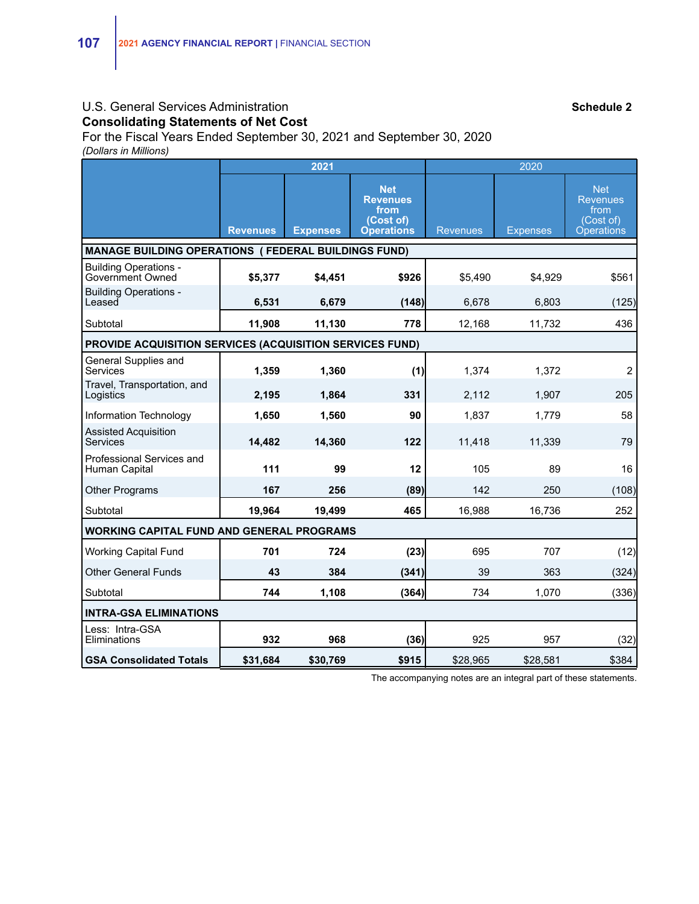#### U.S. General Services Administration **Schedule 2** and Schedule 2 **Consolidating Statements of Net Cost**

For the Fiscal Years Ended September 30, 2021 and September 30, 2020 *(Dollars in Millions)*

|                                                            |                 | 2021            |                                                                         |                 |                 |                                                                         |  |  |  |
|------------------------------------------------------------|-----------------|-----------------|-------------------------------------------------------------------------|-----------------|-----------------|-------------------------------------------------------------------------|--|--|--|
|                                                            | <b>Revenues</b> | <b>Expenses</b> | <b>Net</b><br><b>Revenues</b><br>from<br>(Cost of)<br><b>Operations</b> | <b>Revenues</b> | <b>Expenses</b> | <b>Net</b><br><b>Revenues</b><br>from<br>(Cost of)<br><b>Operations</b> |  |  |  |
| <b>MANAGE BUILDING OPERATIONS (FEDERAL BUILDINGS FUND)</b> |                 |                 |                                                                         |                 |                 |                                                                         |  |  |  |
| <b>Building Operations -</b><br>Government Owned           | \$5,377         | \$4,451         | \$926                                                                   | \$5,490         | \$4,929         | \$561                                                                   |  |  |  |
| <b>Building Operations -</b><br>Leased                     | 6,531           | 6,679           | (148)                                                                   | 6,678           | 6,803           | (125)                                                                   |  |  |  |
| Subtotal                                                   | 11,908          | 11,130          | 778                                                                     | 12,168          | 11,732          | 436                                                                     |  |  |  |
| PROVIDE ACQUISITION SERVICES (ACQUISITION SERVICES FUND)   |                 |                 |                                                                         |                 |                 |                                                                         |  |  |  |
| General Supplies and<br>Services                           | 1,359           | 1,360           | (1)                                                                     | 1,374           | 1,372           | $\overline{2}$                                                          |  |  |  |
| Travel, Transportation, and<br>Logistics                   | 2,195           | 1,864           | 331                                                                     | 2.112           | 1,907           | 205                                                                     |  |  |  |
| Information Technology                                     | 1,650           | 1,560           | 90                                                                      | 1.837           | 1.779           | 58                                                                      |  |  |  |
| <b>Assisted Acquisition</b><br>Services                    | 14,482          | 14,360          | 122                                                                     | 11,418          | 11,339          | 79                                                                      |  |  |  |
| Professional Services and<br>Human Capital                 | 111             | 99              | 12                                                                      | 105             | 89              | 16                                                                      |  |  |  |
| <b>Other Programs</b>                                      | 167             | 256             | (89)                                                                    | 142             | 250             | (108)                                                                   |  |  |  |
| Subtotal                                                   | 19,964          | 19,499          | 465                                                                     | 16,988          | 16,736          | 252                                                                     |  |  |  |
| <b>WORKING CAPITAL FUND AND GENERAL PROGRAMS</b>           |                 |                 |                                                                         |                 |                 |                                                                         |  |  |  |
| <b>Working Capital Fund</b>                                | 701             | 724             | (23)                                                                    | 695             | 707             | (12)                                                                    |  |  |  |
| <b>Other General Funds</b>                                 | 43              | 384             | (341)                                                                   | 39              | 363             | (324)                                                                   |  |  |  |
| Subtotal                                                   | 744             | 1,108           | (364)                                                                   | 734             | 1,070           | (336)                                                                   |  |  |  |
| <b>INTRA-GSA ELIMINATIONS</b>                              |                 |                 |                                                                         |                 |                 |                                                                         |  |  |  |
| Less: Intra-GSA<br>Eliminations                            | 932             | 968             | (36)                                                                    | 925             | 957             | (32)                                                                    |  |  |  |
| <b>GSA Consolidated Totals</b>                             | \$31,684        | \$30,769        | \$915                                                                   | \$28,965        | \$28,581        | \$384                                                                   |  |  |  |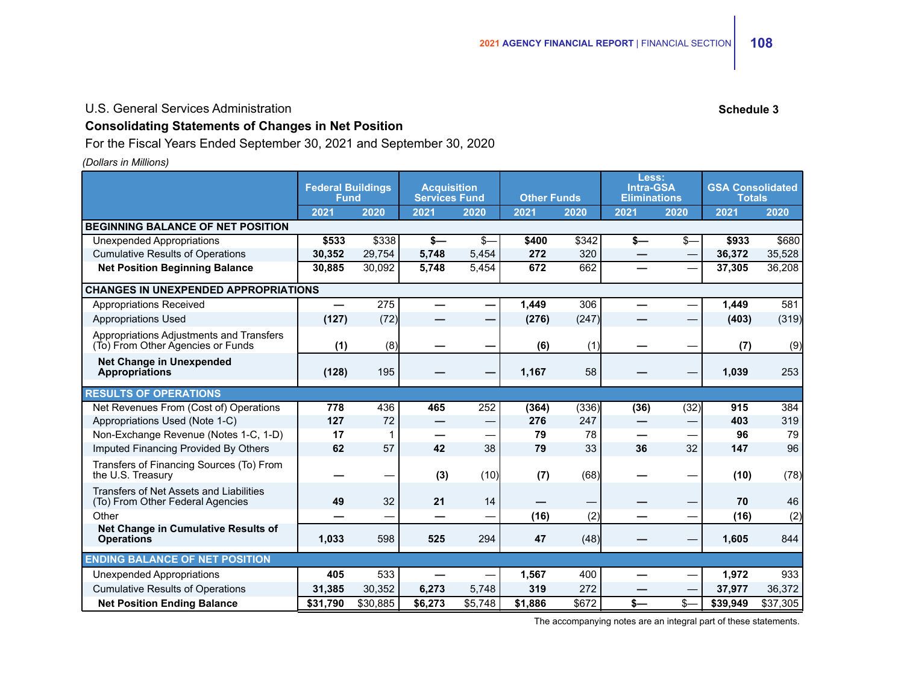#### U.S. General Services Administration **Schedule 3** and Schedule 3

## **Consolidating Statements of Changes in Net Position**

For the Fiscal Years Ended September 30, 2021 and September 30, 2020

#### *(Dollars in Millions)*

|                                                                               | <b>Federal Buildings</b><br><b>Fund</b> |          | <b>Acquisition</b><br><b>Services Fund</b> |                               | <b>Other Funds</b> |       | Less:<br><b>Intra-GSA</b><br><b>Eliminations</b> |      | <b>GSA Consolidated</b><br><b>Totals</b> |          |
|-------------------------------------------------------------------------------|-----------------------------------------|----------|--------------------------------------------|-------------------------------|--------------------|-------|--------------------------------------------------|------|------------------------------------------|----------|
|                                                                               | 2021                                    | 2020     | 2021                                       | 2020                          | 2021               | 2020  | 2021                                             | 2020 | 2021                                     | 2020     |
| <b>BEGINNING BALANCE OF NET POSITION</b>                                      |                                         |          |                                            |                               |                    |       |                                                  |      |                                          |          |
| <b>Unexpended Appropriations</b>                                              | \$533                                   | \$338    | $s-$                                       | \$-                           | \$400              | \$342 | \$—                                              | \$-  | \$933                                    | \$680    |
| <b>Cumulative Results of Operations</b>                                       | 30,352                                  | 29,754   | 5,748                                      | 5,454                         | 272                | 320   |                                                  |      | 36,372                                   | 35,528   |
| <b>Net Position Beginning Balance</b>                                         | 30,885                                  | 30,092   | 5,748                                      | 5,454                         | 672                | 662   |                                                  |      | 37,305                                   | 36,208   |
| <b>CHANGES IN UNEXPENDED APPROPRIATIONS</b>                                   |                                         |          |                                            |                               |                    |       |                                                  |      |                                          |          |
| Appropriations Received                                                       | —                                       | 275      |                                            |                               | 1,449              | 306   |                                                  |      | 1,449                                    | 581      |
| <b>Appropriations Used</b>                                                    | (127)                                   | (72)     |                                            | -                             | (276)              | (247) |                                                  |      | (403)                                    | (319)    |
| Appropriations Adjustments and Transfers<br>(To) From Other Agencies or Funds | (1)                                     | (8)      |                                            |                               | (6)                | (1)   |                                                  |      | (7)                                      | (9)      |
| <b>Net Change in Unexpended</b><br><b>Appropriations</b>                      | (128)                                   | 195      |                                            |                               | 1,167              | 58    |                                                  |      | 1,039                                    | 253      |
| <b>RESULTS OF OPERATIONS</b>                                                  |                                         |          |                                            |                               |                    |       |                                                  |      |                                          |          |
| Net Revenues From (Cost of) Operations                                        | 778                                     | 436      | 465                                        | 252                           | (364)              | (336) | (36)                                             | (32) | 915                                      | 384      |
| Appropriations Used (Note 1-C)                                                | 127                                     | 72       | —                                          | $\overbrace{\phantom{13333}}$ | 276                | 247   | —                                                | —    | 403                                      | 319      |
| Non-Exchange Revenue (Notes 1-C, 1-D)                                         | 17                                      | 1        |                                            |                               | 79                 | 78    |                                                  |      | 96                                       | 79       |
| Imputed Financing Provided By Others                                          | 62                                      | 57       | 42                                         | 38                            | 79                 | 33    | 36                                               | 32   | 147                                      | 96       |
| Transfers of Financing Sources (To) From<br>the U.S. Treasury                 |                                         |          | (3)                                        | (10)                          | (7)                | (68)  |                                                  |      | (10)                                     | (78)     |
| Transfers of Net Assets and Liabilities<br>(To) From Other Federal Agencies   | 49                                      | 32       | 21                                         | 14                            |                    |       |                                                  |      | 70                                       | 46       |
| Other                                                                         |                                         |          |                                            | -                             | (16)               | (2)   |                                                  |      | (16)                                     | (2)      |
| Net Change in Cumulative Results of<br><b>Operations</b>                      | 1,033                                   | 598      | 525                                        | 294                           | 47                 | (48)  |                                                  |      | 1.605                                    | 844      |
| <b>ENDING BALANCE OF NET POSITION</b>                                         |                                         |          |                                            |                               |                    |       |                                                  |      |                                          |          |
| Unexpended Appropriations                                                     | 405                                     | 533      |                                            |                               | 1,567              | 400   |                                                  |      | 1,972                                    | 933      |
| <b>Cumulative Results of Operations</b>                                       | 31,385                                  | 30,352   | 6,273                                      | 5,748                         | 319                | 272   |                                                  |      | 37,977                                   | 36,372   |
| <b>Net Position Ending Balance</b>                                            | \$31.790                                | \$30.885 | \$6.273                                    | \$5,748                       | \$1.886            | \$672 | $s-$                                             | \$-  | \$39.949                                 | \$37.305 |